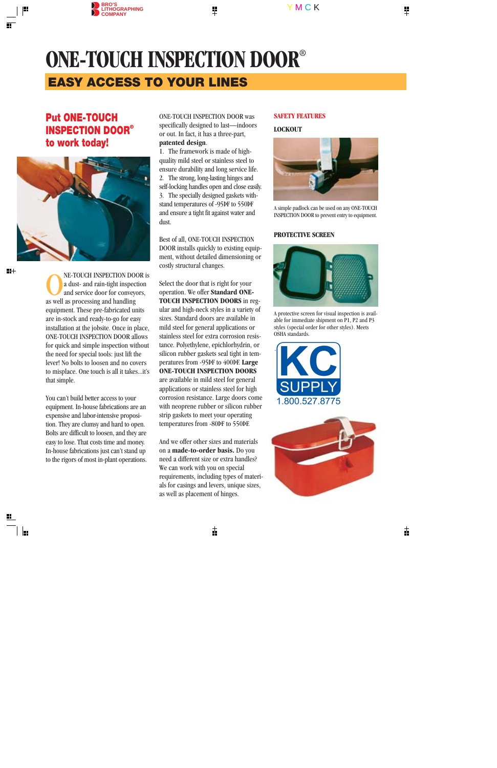# **ONE-TOUCH INSPECTION DOOR**® **EASY ACCESS TO YOUR LINES**

# **Put ONE-TOUCH INSPECTION DOOR® to work today!**



NE-TOUCH INSPECTION DOOR is<br>a dust- and rain-tight inspection<br>and service door for conveyors,<br>as well as processing and handling a dust- and rain-tight inspection and service door for conveyors, as well as processing and handling equipment. These pre-fabricated units are in-stock and ready-to-go for easy installation at the jobsite. Once in place, ONE-TOUCH INSPECTION DOOR allows for quick and simple inspection without the need for special tools: just lift the lever! No bolts to loosen and no covers to misplace. One touch is all it takes...it's that simple.

You can't build better access to your equipment. In-house fabrications are an expensive and labor-intensive proposition. They are clumsy and hard to open. Bolts are difficult to loosen, and they are easy to lose. That costs time and money. In-house fabrications just can't stand up to the rigors of most in-plant operations. ONE-TOUCH INSPECTION DOOR was specifically designed to last—indoors or out. In fact, it has a three-part, **patented design**.

1. The framework is made of highquality mild steel or stainless steel to ensure durability and long service life. 2. The strong, long-lasting hinges and self-locking handles open and close easily. 3. The specially designed gaskets withstand temperatures of -95ÞF to 550ÞF and ensure a tight fit against water and dust.

Best of all, ONE-TOUCH INSPECTION DOOR installs quickly to existing equipment, without detailed dimensioning or costly structural changes.

Select the door that is right for your operation. We offer **Standard ONE-TOUCH INSPECTION DOORS** in regular and high-neck styles in a variety of sizes. Standard doors are available in mild steel for general applications or stainless steel for extra corrosion resistance. Polyethylene, epichlorhydrin, or silicon rubber gaskets seal tight in temperatures from -95ÞF to 400ÞF. **Large ONE-TOUCH INSPECTION DOORS** are available in mild steel for general applications or stainless steel for high corrosion resistance. Large doors come with neoprene rubber or silicon rubber strip gaskets to meet your operating temperatures from -80ÞF to 550ÞF.

And we offer other sizes and materials on a **made-to-order basis.** Do you need a different size or extra handles? We can work with you on special requirements, including types of materials for casings and levers, unique sizes, as well as placement of hinges.

#### **SAFETY FEATURES**

#### **LOCKOUT**



A simple padlock can be used on any ONE-TOUCH INSPECTION DOOR to prevent entry to equipment.

#### **PROTECTIVE SCREEN**



A protective screen for visual inspection is available for immediate shipment on P1, P2 and P3 styles (special order for other styles). Meets OSHA standards.



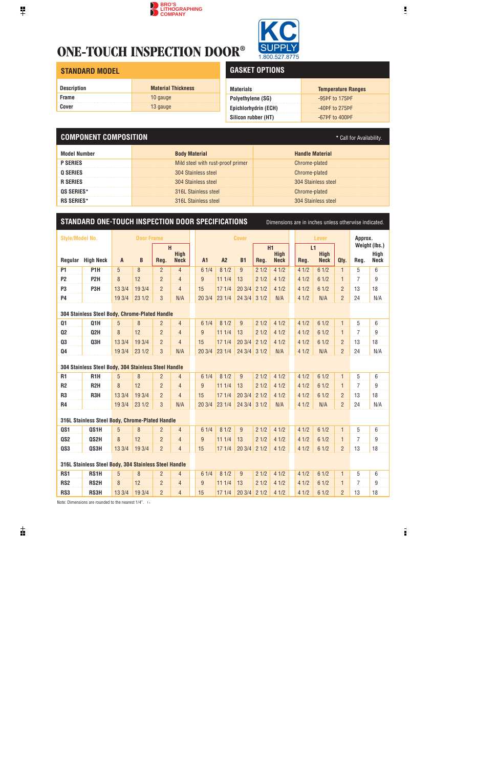# **ONE-TOUCH INSPECTION DOOR®**



#### **STANDARD MODEL**

| <b>Description</b> | <b>Material Thickness</b> |
|--------------------|---------------------------|
| <b>Frame</b>       | 10 gauge                  |
| Cover              | 13 gauge                  |

# **GASKET OPTIONS**

| <b>Materials</b>         | <b>Temperature Ranges</b> |
|--------------------------|---------------------------|
| <b>Polyethylene (SG)</b> | $-95$ PF to 175PF         |
| Epichlorhydrin (ECH)     | $-40$ PF to 275PF         |
| Silicon rubber (HT)      | $-67$ PF to $400$ PF      |

## **COMPONENT COMPOSITION** *COMPOSITION \* Call for Availability.*

| <b>Body Material</b>              | Handle Material     |
|-----------------------------------|---------------------|
| Mild steel with rust-proof primer | Chrome-plated       |
| 304 Stainless steel               | Chrome-plated       |
| 304 Stainless steel               | 304 Stainless steel |
| 316L Stainless steel              | Chrome-plated       |
| 316L Stainless steel              | 304 Stainless steel |

### **STANDARD ONE-TOUCH INSPECTION DOOR SPECIFICATIONS** Dimensions are in inches unless otherwise indicated.

| <b>Style/Model No.</b>                                |                                                      |              | <b>Door Frame</b> |                |                            |                | <b>Cover</b> |                |      |                            | <b>Lever</b> |      |                            | Approx.        |                |                     |
|-------------------------------------------------------|------------------------------------------------------|--------------|-------------------|----------------|----------------------------|----------------|--------------|----------------|------|----------------------------|--------------|------|----------------------------|----------------|----------------|---------------------|
|                                                       |                                                      |              |                   | H              |                            |                |              |                |      | H1                         |              | L1   |                            |                | Weight (lbs.)  |                     |
| Regular                                               | <b>High Neck</b>                                     | $\mathsf{A}$ | B                 | Reg.           | <b>High</b><br><b>Neck</b> | <b>A1</b>      | A2           | <b>B1</b>      | Reg. | <b>High</b><br><b>Neck</b> |              | Reg. | <b>High</b><br><b>Neck</b> | Qty.           | Reg.           | Hiah<br><b>Neck</b> |
| P1                                                    | P <sub>1</sub> H                                     | 5            | 8                 | $\overline{2}$ | $\overline{4}$             | 61/4           | 81/2         | $\overline{9}$ | 21/2 | 41/2                       |              | 41/2 | 61/2                       | $\mathbf{1}$   | 5              | 6                   |
| P <sub>2</sub>                                        | P <sub>2</sub> H                                     | 8            | 12                | $\overline{2}$ | $\overline{4}$             | 9              | 111/4        | 13             | 21/2 | 41/2                       |              | 41/2 | 61/2                       | $\mathbf{1}$   | 7              | 9                   |
| P <sub>3</sub>                                        | P3H                                                  | 13 3/4       | 19 3/4            | $\overline{2}$ | $\overline{4}$             | 15             | 171/4        | 203/4          | 21/2 | 41/2                       |              | 41/2 | 61/2                       | $\overline{2}$ | 13             | 18                  |
| P4                                                    |                                                      | 19 3/4       | 231/2             | 3              | N/A                        | 20 3/4         | 231/4        | 24 3/4         | 31/2 | N/A                        |              | 41/2 | N/A                        | $\overline{2}$ | 24             | N/A                 |
|                                                       |                                                      |              |                   |                |                            |                |              |                |      |                            |              |      |                            |                |                |                     |
|                                                       | 304 Stainless Steel Body, Chrome-Plated Handle       |              |                   |                |                            |                |              |                |      |                            |              |      |                            |                |                |                     |
| Q1                                                    | Q1H                                                  | 5            | 8                 | $\overline{2}$ | $\overline{4}$             | 61/4           | 81/2         | 9              | 21/2 | 41/2                       |              | 41/2 | 61/2                       | $\mathbf{1}$   | 5              | 6                   |
| Q <sub>2</sub>                                        | Q2H                                                  | 8            | 12                | $\overline{2}$ | $\overline{4}$             | 9              | 111/4        | 13             | 21/2 | 41/2                       |              | 41/2 | 61/2                       | $\mathbf{1}$   | $\overline{7}$ | 9                   |
| Q3                                                    | Q3H                                                  | 13 3/4       | 19 3/4            | $\overline{2}$ | $\overline{4}$             | 15             | 171/4        | 203/4          | 21/2 | 41/2                       |              | 41/2 | 61/2                       | $\overline{2}$ | 13             | 18                  |
| Q4                                                    |                                                      | 19 3/4       | 231/2             | 3              | N/A                        | 20 3/4         | 231/4        | 24 3/4         | 31/2 | N/A                        |              | 41/2 | N/A                        | $\overline{2}$ | 24             | N/A                 |
|                                                       |                                                      |              |                   |                |                            |                |              |                |      |                            |              |      |                            |                |                |                     |
|                                                       | 304 Stainless Steel Body, 304 Stainless Steel Handle |              |                   |                |                            |                |              |                |      |                            |              |      |                            |                |                |                     |
| <b>R1</b>                                             | R <sub>1</sub> H                                     | 5            | 8                 | $\overline{2}$ | $\overline{4}$             | 61/4           | 81/2         | 9              | 21/2 | 41/2                       |              | 41/2 | 61/2                       | $\mathbf{1}$   | 5              | 6                   |
| R <sub>2</sub>                                        | R <sub>2</sub> H                                     | 8            | 12                | $\overline{2}$ | $\overline{4}$             | 9              | 111/4        | 13             | 21/2 | 41/2                       |              | 41/2 | 61/2                       | $\mathbf{1}$   | $\overline{7}$ | 9                   |
| R <sub>3</sub>                                        | R3H                                                  | 13 3/4       | 19 3/4            | $\overline{2}$ | $\overline{4}$             | 15             | 171/4        | 203/4          | 21/2 | 41/2                       |              | 41/2 | 61/2                       | $\overline{2}$ | 13             | 18                  |
| <b>R4</b>                                             |                                                      | 19 3/4       | 231/2             | 3              | N/A                        | 20 3/4         | 23 1/4       | 243/4          | 31/2 | N/A                        |              | 41/2 | N/A                        | $\overline{2}$ | 24             | N/A                 |
| 316L Stainless Steel Body, Chrome-Plated Handle       |                                                      |              |                   |                |                            |                |              |                |      |                            |              |      |                            |                |                |                     |
| QS1                                                   | QS1H                                                 | 5            | 8                 | $\overline{2}$ | $\overline{4}$             | 61/4           | 81/2         | 9              | 21/2 | 41/2                       |              | 41/2 | 61/2                       | $\mathbf{1}$   | 5              | 6                   |
| QS <sub>2</sub>                                       | QS2H                                                 | 8            | 12                | $\overline{2}$ | $\overline{4}$             | $\overline{9}$ | 111/4        | 13             | 21/2 | 41/2                       |              | 41/2 | 61/2                       | $\mathbf{1}$   | $\overline{7}$ | $\boldsymbol{9}$    |
| QS3                                                   | QS3H                                                 | 13 3/4       | 19 3/4            | $\overline{2}$ | $\overline{4}$             | 15             | 171/4        | 203/4          | 21/2 | 41/2                       |              | 41/2 | 61/2                       | $\overline{2}$ | 13             | 18                  |
|                                                       |                                                      |              |                   |                |                            |                |              |                |      |                            |              |      |                            |                |                |                     |
| 316L Stainless Steel Body, 304 Stainless Steel Handle |                                                      |              |                   |                |                            |                |              |                |      |                            |              |      |                            |                |                |                     |
| RS1                                                   | RS1H                                                 | 5            | 8                 | $\overline{2}$ | $\overline{4}$             | 61/4           | 81/2         | 9              | 21/2 | 41/2                       |              | 41/2 | 61/2                       | $\mathbf{1}$   | 5              | 6                   |
| RS <sub>2</sub>                                       | RS <sub>2</sub> H                                    | 8            | 12                | $\overline{2}$ | $\overline{4}$             | 9              | 111/4        | 13             | 21/2 | 41/2                       |              | 41/2 | 61/2                       | 1              | 7              | 9                   |
| RS3                                                   | RS3H                                                 | 13 3/4       | 19 3/4            | $\overline{2}$ | $\overline{4}$             | 15             | 171/4        | 203/4          | 21/2 | 41/2                       |              | 41/2 | 61/2                       | $\overline{2}$ | 13             | 18                  |

Note: Dimensions are rounded to the nearest  $1/4$ ".  $\blacksquare$ .